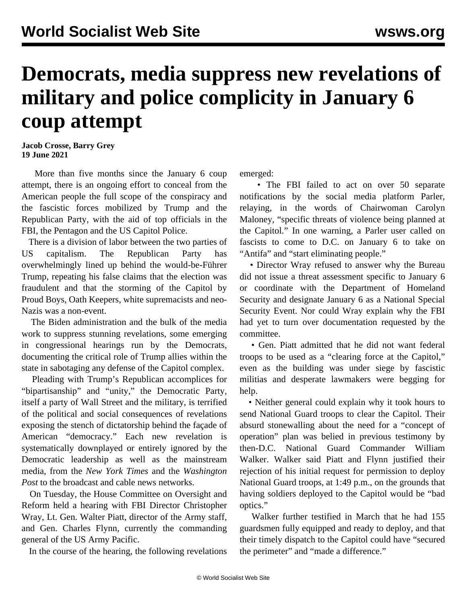## **Democrats, media suppress new revelations of military and police complicity in January 6 coup attempt**

**Jacob Crosse, Barry Grey 19 June 2021**

 More than five months since the January 6 coup attempt, there is an ongoing effort to conceal from the American people the full scope of the conspiracy and the fascistic forces mobilized by Trump and the Republican Party, with the aid of top officials in the FBI, the Pentagon and the US Capitol Police.

 There is a division of labor between the two parties of US capitalism. The Republican Party has overwhelmingly lined up behind the would-be-Führer Trump, repeating his false claims that the election was fraudulent and that the storming of the Capitol by Proud Boys, Oath Keepers, white supremacists and neo-Nazis was a non-event.

 The Biden administration and the bulk of the media work to suppress stunning revelations, some emerging in congressional hearings run by the Democrats, documenting the critical role of Trump allies within the state in sabotaging any defense of the Capitol complex.

 Pleading with Trump's Republican accomplices for "bipartisanship" and "unity," the Democratic Party, itself a party of Wall Street and the military, is terrified of the political and social consequences of revelations exposing the stench of dictatorship behind the façade of American "democracy." Each new revelation is systematically downplayed or entirely ignored by the Democratic leadership as well as the mainstream media, from the *New York Times* and the *Washington Post* to the broadcast and cable news networks.

 On Tuesday, the House Committee on Oversight and Reform held a hearing with FBI Director Christopher Wray, Lt. Gen. Walter Piatt, director of the Army staff, and Gen. Charles Flynn, currently the commanding general of the US Army Pacific.

In the course of the hearing, the following revelations

emerged:

• The FBI failed to act on over 50 separate notifications by the social media platform Parler, relaying, in the words of Chairwoman Carolyn Maloney, "specific threats of violence being planned at the Capitol." In one warning, a Parler user called on fascists to come to D.C. on January 6 to take on "Antifa" and "start eliminating people."

 • Director Wray refused to answer why the Bureau did not issue a threat assessment specific to January 6 or coordinate with the Department of Homeland Security and designate January 6 as a National Special Security Event. Nor could Wray explain why the FBI had yet to turn over documentation requested by the committee.

 • Gen. Piatt admitted that he did not want federal troops to be used as a "clearing force at the Capitol," even as the building was under siege by fascistic militias and desperate lawmakers were begging for help.

 • Neither general could explain why it took hours to send National Guard troops to clear the Capitol. Their absurd stonewalling about the need for a "concept of operation" plan was belied in previous testimony by then-D.C. National Guard Commander William Walker. Walker said Piatt and Flynn justified their rejection of his initial request for permission to deploy National Guard troops, at 1:49 p.m., on the grounds that having soldiers deployed to the Capitol would be "bad optics."

 Walker further testified in March that he had 155 guardsmen fully equipped and ready to deploy, and that their timely dispatch to the Capitol could have "secured the perimeter" and "made a difference."